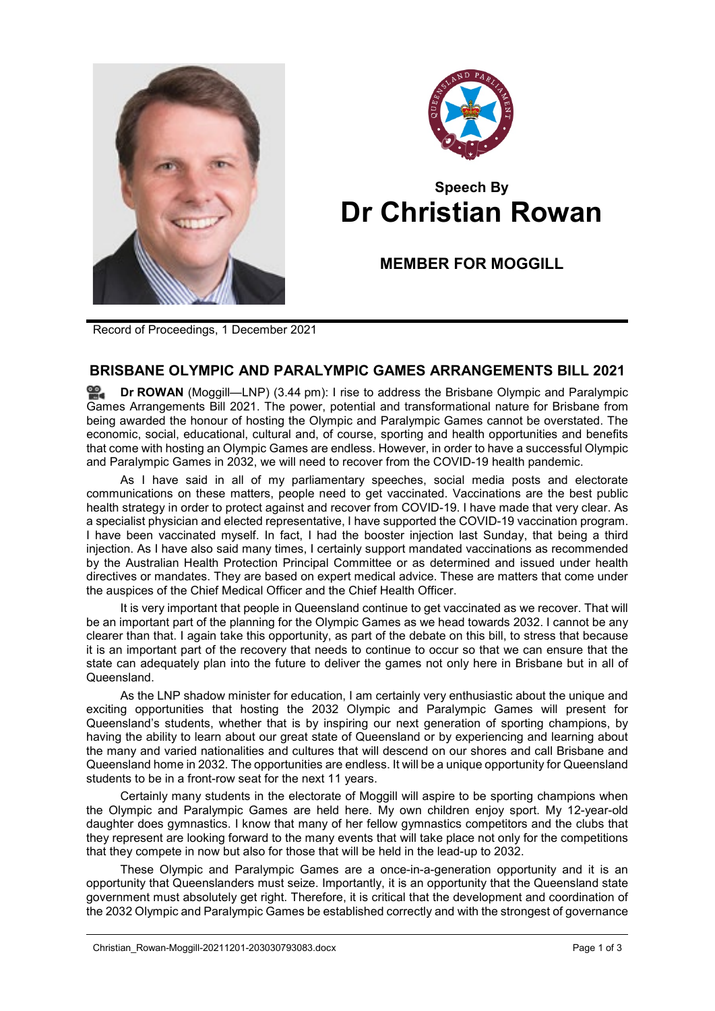



## **Speech By Dr Christian Rowan**

**MEMBER FOR MOGGILL**

Record of Proceedings, 1 December 2021

## **BRISBANE OLYMPIC AND PARALYMPIC GAMES ARRANGEMENTS BILL 2021**

**Dr [ROWAN](http://www.parliament.qld.gov.au/docs/find.aspx?id=0Mba20211201_154459)** (Moggill—LNP) (3.44 pm): I rise to address the Brisbane Olympic and Paralympic Games Arrangements Bill 2021. The power, potential and transformational nature for Brisbane from being awarded the honour of hosting the Olympic and Paralympic Games cannot be overstated. The economic, social, educational, cultural and, of course, sporting and health opportunities and benefits that come with hosting an Olympic Games are endless. However, in order to have a successful Olympic and Paralympic Games in 2032, we will need to recover from the COVID-19 health pandemic.

As I have said in all of my parliamentary speeches, social media posts and electorate communications on these matters, people need to get vaccinated. Vaccinations are the best public health strategy in order to protect against and recover from COVID-19. I have made that very clear. As a specialist physician and elected representative, I have supported the COVID-19 vaccination program. I have been vaccinated myself. In fact, I had the booster injection last Sunday, that being a third injection. As I have also said many times, I certainly support mandated vaccinations as recommended by the Australian Health Protection Principal Committee or as determined and issued under health directives or mandates. They are based on expert medical advice. These are matters that come under the auspices of the Chief Medical Officer and the Chief Health Officer.

It is very important that people in Queensland continue to get vaccinated as we recover. That will be an important part of the planning for the Olympic Games as we head towards 2032. I cannot be any clearer than that. I again take this opportunity, as part of the debate on this bill, to stress that because it is an important part of the recovery that needs to continue to occur so that we can ensure that the state can adequately plan into the future to deliver the games not only here in Brisbane but in all of Queensland.

As the LNP shadow minister for education, I am certainly very enthusiastic about the unique and exciting opportunities that hosting the 2032 Olympic and Paralympic Games will present for Queensland's students, whether that is by inspiring our next generation of sporting champions, by having the ability to learn about our great state of Queensland or by experiencing and learning about the many and varied nationalities and cultures that will descend on our shores and call Brisbane and Queensland home in 2032. The opportunities are endless. It will be a unique opportunity for Queensland students to be in a front-row seat for the next 11 years.

Certainly many students in the electorate of Moggill will aspire to be sporting champions when the Olympic and Paralympic Games are held here. My own children enjoy sport. My 12-year-old daughter does gymnastics. I know that many of her fellow gymnastics competitors and the clubs that they represent are looking forward to the many events that will take place not only for the competitions that they compete in now but also for those that will be held in the lead-up to 2032.

These Olympic and Paralympic Games are a once-in-a-generation opportunity and it is an opportunity that Queenslanders must seize. Importantly, it is an opportunity that the Queensland state government must absolutely get right. Therefore, it is critical that the development and coordination of the 2032 Olympic and Paralympic Games be established correctly and with the strongest of governance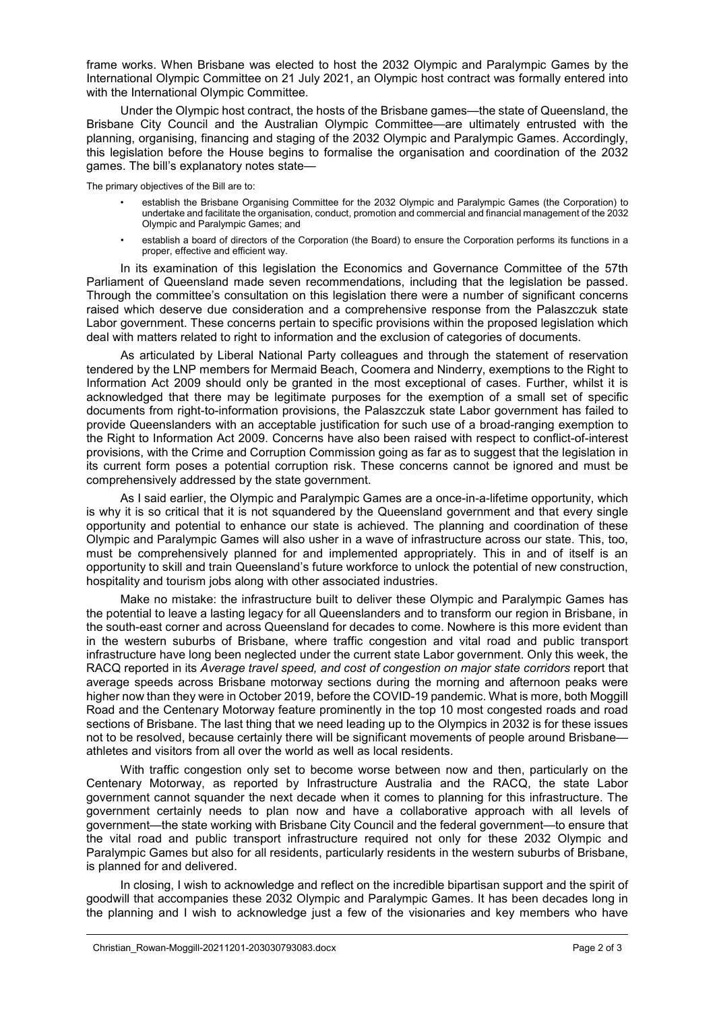frame works. When Brisbane was elected to host the 2032 Olympic and Paralympic Games by the International Olympic Committee on 21 July 2021, an Olympic host contract was formally entered into with the International Olympic Committee.

Under the Olympic host contract, the hosts of the Brisbane games—the state of Queensland, the Brisbane City Council and the Australian Olympic Committee—are ultimately entrusted with the planning, organising, financing and staging of the 2032 Olympic and Paralympic Games. Accordingly, this legislation before the House begins to formalise the organisation and coordination of the 2032 games. The bill's explanatory notes state—

The primary objectives of the Bill are to:

- establish the Brisbane Organising Committee for the 2032 Olympic and Paralympic Games (the Corporation) to undertake and facilitate the organisation, conduct, promotion and commercial and financial management of the 2032 Olympic and Paralympic Games; and
- establish a board of directors of the Corporation (the Board) to ensure the Corporation performs its functions in a proper, effective and efficient way.

In its examination of this legislation the Economics and Governance Committee of the 57th Parliament of Queensland made seven recommendations, including that the legislation be passed. Through the committee's consultation on this legislation there were a number of significant concerns raised which deserve due consideration and a comprehensive response from the Palaszczuk state Labor government. These concerns pertain to specific provisions within the proposed legislation which deal with matters related to right to information and the exclusion of categories of documents.

As articulated by Liberal National Party colleagues and through the statement of reservation tendered by the LNP members for Mermaid Beach, Coomera and Ninderry, exemptions to the Right to Information Act 2009 should only be granted in the most exceptional of cases. Further, whilst it is acknowledged that there may be legitimate purposes for the exemption of a small set of specific documents from right-to-information provisions, the Palaszczuk state Labor government has failed to provide Queenslanders with an acceptable justification for such use of a broad-ranging exemption to the Right to Information Act 2009. Concerns have also been raised with respect to conflict-of-interest provisions, with the Crime and Corruption Commission going as far as to suggest that the legislation in its current form poses a potential corruption risk. These concerns cannot be ignored and must be comprehensively addressed by the state government.

As I said earlier, the Olympic and Paralympic Games are a once-in-a-lifetime opportunity, which is why it is so critical that it is not squandered by the Queensland government and that every single opportunity and potential to enhance our state is achieved. The planning and coordination of these Olympic and Paralympic Games will also usher in a wave of infrastructure across our state. This, too, must be comprehensively planned for and implemented appropriately. This in and of itself is an opportunity to skill and train Queensland's future workforce to unlock the potential of new construction, hospitality and tourism jobs along with other associated industries.

Make no mistake: the infrastructure built to deliver these Olympic and Paralympic Games has the potential to leave a lasting legacy for all Queenslanders and to transform our region in Brisbane, in the south-east corner and across Queensland for decades to come. Nowhere is this more evident than in the western suburbs of Brisbane, where traffic congestion and vital road and public transport infrastructure have long been neglected under the current state Labor government. Only this week, the RACQ reported in its *Average travel speed, and cost of congestion on major state corridors* report that average speeds across Brisbane motorway sections during the morning and afternoon peaks were higher now than they were in October 2019, before the COVID-19 pandemic. What is more, both Moggill Road and the Centenary Motorway feature prominently in the top 10 most congested roads and road sections of Brisbane. The last thing that we need leading up to the Olympics in 2032 is for these issues not to be resolved, because certainly there will be significant movements of people around Brisbane athletes and visitors from all over the world as well as local residents.

With traffic congestion only set to become worse between now and then, particularly on the Centenary Motorway, as reported by Infrastructure Australia and the RACQ, the state Labor government cannot squander the next decade when it comes to planning for this infrastructure. The government certainly needs to plan now and have a collaborative approach with all levels of government—the state working with Brisbane City Council and the federal government—to ensure that the vital road and public transport infrastructure required not only for these 2032 Olympic and Paralympic Games but also for all residents, particularly residents in the western suburbs of Brisbane, is planned for and delivered.

In closing, I wish to acknowledge and reflect on the incredible bipartisan support and the spirit of goodwill that accompanies these 2032 Olympic and Paralympic Games. It has been decades long in the planning and I wish to acknowledge just a few of the visionaries and key members who have